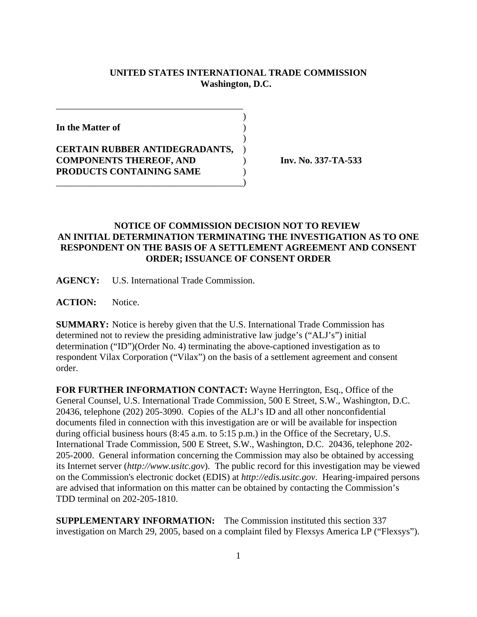## **UNITED STATES INTERNATIONAL TRADE COMMISSION Washington, D.C.**

 $\overline{\phantom{a}}$ 

 $\overline{\phantom{a}}$ 

**In the Matter of** )

**CERTAIN RUBBER ANTIDEGRADANTS,** ) **COMPONENTS THEREOF, AND** ) **Inv. No. 337-TA-533 PRODUCTS CONTAINING SAME** )

\_\_\_\_\_\_\_\_\_\_\_\_\_\_\_\_\_\_\_\_\_\_\_\_\_\_\_\_\_\_\_\_\_\_\_\_\_\_\_\_)

\_\_\_\_\_\_\_\_\_\_\_\_\_\_\_\_\_\_\_\_\_\_\_\_\_\_\_\_\_\_\_\_\_\_\_\_\_\_\_\_

## **NOTICE OF COMMISSION DECISION NOT TO REVIEW AN INITIAL DETERMINATION TERMINATING THE INVESTIGATION AS TO ONE RESPONDENT ON THE BASIS OF A SETTLEMENT AGREEMENT AND CONSENT ORDER; ISSUANCE OF CONSENT ORDER**

**AGENCY:** U.S. International Trade Commission.

**ACTION:** Notice.

**SUMMARY:** Notice is hereby given that the U.S. International Trade Commission has determined not to review the presiding administrative law judge's ("ALJ's") initial determination ("ID")(Order No. 4) terminating the above-captioned investigation as to respondent Vilax Corporation ("Vilax") on the basis of a settlement agreement and consent order.

**FOR FURTHER INFORMATION CONTACT:** Wayne Herrington, Esq., Office of the General Counsel, U.S. International Trade Commission, 500 E Street, S.W., Washington, D.C. 20436, telephone (202) 205-3090. Copies of the ALJ's ID and all other nonconfidential documents filed in connection with this investigation are or will be available for inspection during official business hours (8:45 a.m. to 5:15 p.m.) in the Office of the Secretary, U.S. International Trade Commission, 500 E Street, S.W., Washington, D.C. 20436, telephone 202- 205-2000. General information concerning the Commission may also be obtained by accessing its Internet server (*http://www.usitc.gov*). The public record for this investigation may be viewed on the Commission's electronic docket (EDIS) at *http://edis.usitc.gov*. Hearing-impaired persons are advised that information on this matter can be obtained by contacting the Commission's TDD terminal on 202-205-1810.

**SUPPLEMENTARY INFORMATION:** The Commission instituted this section 337 investigation on March 29, 2005, based on a complaint filed by Flexsys America LP ("Flexsys").